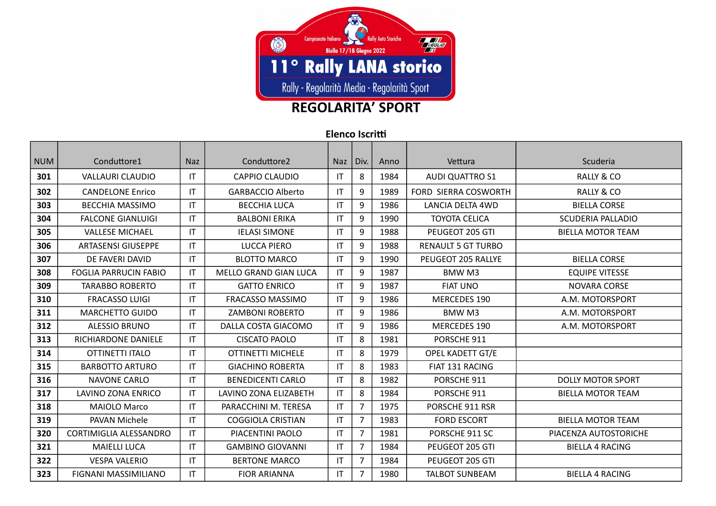

## **REGOLARITA' SPORT**

**Elenco Iscrit**

| <b>NUM</b> | Conduttore1                   | <b>Naz</b>             | Conduttore2                  | <b>Naz</b>             | Div.           | Anno | Vettura                     | Scuderia                 |
|------------|-------------------------------|------------------------|------------------------------|------------------------|----------------|------|-----------------------------|--------------------------|
| 301        | <b>VALLAURI CLAUDIO</b>       | IT                     | <b>CAPPIO CLAUDIO</b>        | IT                     | 8              | 1984 | <b>AUDI QUATTRO S1</b>      | <b>RALLY &amp; CO</b>    |
| 302        | <b>CANDELONE Enrico</b>       | IT                     | <b>GARBACCIO Alberto</b>     | IT                     | 9              | 1989 | <b>FORD SIERRA COSWORTH</b> | <b>RALLY &amp; CO</b>    |
| 303        | <b>BECCHIA MASSIMO</b>        | IT                     | <b>BECCHIA LUCA</b>          | $\mathsf{I}\mathsf{T}$ | 9              | 1986 | LANCIA DELTA 4WD            | <b>BIELLA CORSE</b>      |
| 304        | <b>FALCONE GIANLUIGI</b>      | $\mathsf{I}\mathsf{T}$ | <b>BALBONI ERIKA</b>         | IT                     | 9              | 1990 | <b>TOYOTA CELICA</b>        | <b>SCUDERIA PALLADIO</b> |
| 305        | <b>VALLESE MICHAEL</b>        | $\mathsf{I}\mathsf{T}$ | <b>IELASI SIMONE</b>         | IT                     | 9              | 1988 | PEUGEOT 205 GTI             | <b>BIELLA MOTOR TEAM</b> |
| 306        | <b>ARTASENSI GIUSEPPE</b>     | $\mathsf{I}\mathsf{T}$ | LUCCA PIERO                  | IT                     | 9              | 1988 | <b>RENAULT 5 GT TURBO</b>   |                          |
| 307        | DE FAVERI DAVID               | $\mathsf{I}\mathsf{T}$ | <b>BLOTTO MARCO</b>          | IT                     | 9              | 1990 | PEUGEOT 205 RALLYE          | <b>BIELLA CORSE</b>      |
| 308        | <b>FOGLIA PARRUCIN FABIO</b>  | IT                     | <b>MELLO GRAND GIAN LUCA</b> | IT                     | 9              | 1987 | <b>BMWM3</b>                | <b>EQUIPE VITESSE</b>    |
| 309        | <b>TARABBO ROBERTO</b>        | IT                     | <b>GATTO ENRICO</b>          | IT                     | 9              | 1987 | <b>FIAT UNO</b>             | <b>NOVARA CORSE</b>      |
| 310        | <b>FRACASSO LUIGI</b>         | IT                     | <b>FRACASSO MASSIMO</b>      | IT                     | 9              | 1986 | MERCEDES 190                | A.M. MOTORSPORT          |
| 311        | <b>MARCHETTO GUIDO</b>        | IT                     | <b>ZAMBONI ROBERTO</b>       | IT                     | 9              | 1986 | <b>BMWM3</b>                | A.M. MOTORSPORT          |
| 312        | <b>ALESSIO BRUNO</b>          | IT                     | DALLA COSTA GIACOMO          | IT                     | 9              | 1986 | <b>MERCEDES 190</b>         | A.M. MOTORSPORT          |
| 313        | RICHIARDONE DANIELE           | IT                     | <b>CISCATO PAOLO</b>         | IT                     | 8              | 1981 | PORSCHE 911                 |                          |
| 314        | OTTINETTI ITALO               | IT                     | <b>OTTINETTI MICHELE</b>     | IT                     | 8              | 1979 | <b>OPEL KADETT GT/E</b>     |                          |
| 315        | <b>BARBOTTO ARTURO</b>        | IT                     | <b>GIACHINO ROBERTA</b>      | IT                     | 8              | 1983 | FIAT 131 RACING             |                          |
| 316        | <b>NAVONE CARLO</b>           | IT                     | <b>BENEDICENTI CARLO</b>     | IT                     | 8              | 1982 | PORSCHE 911                 | <b>DOLLY MOTOR SPORT</b> |
| 317        | LAVINO ZONA ENRICO            | IT                     | LAVINO ZONA ELIZABETH        | IT                     | 8              | 1984 | PORSCHE 911                 | <b>BIELLA MOTOR TEAM</b> |
| 318        | <b>MAIOLO Marco</b>           | IT                     | PARACCHINI M. TERESA         | $\mathsf{I}\mathsf{T}$ | $\overline{7}$ | 1975 | PORSCHE 911 RSR             |                          |
| 319        | PAVAN Michele                 | IT                     | <b>COGGIOLA CRISTIAN</b>     | $\mathsf{I}\mathsf{T}$ | $\overline{7}$ | 1983 | <b>FORD ESCORT</b>          | <b>BIELLA MOTOR TEAM</b> |
| 320        | <b>CORTIMIGLIA ALESSANDRO</b> | IT                     | PIACENTINI PAOLO             | IT                     | $\overline{7}$ | 1981 | PORSCHE 911 SC              | PIACENZA AUTOSTORICHE    |
| 321        | <b>MAIELLI LUCA</b>           | IT                     | <b>GAMBINO GIOVANNI</b>      | IT                     | $\overline{7}$ | 1984 | PEUGEOT 205 GTI             | <b>BIELLA 4 RACING</b>   |
| 322        | <b>VESPA VALERIO</b>          | $\mathsf{I}\mathsf{T}$ | <b>BERTONE MARCO</b>         | IT                     | $\overline{7}$ | 1984 | PEUGEOT 205 GTI             |                          |
| 323        | FIGNANI MASSIMILIANO          | IT                     | <b>FIOR ARIANNA</b>          | IT                     | $\overline{7}$ | 1980 | <b>TALBOT SUNBEAM</b>       | <b>BIELLA 4 RACING</b>   |